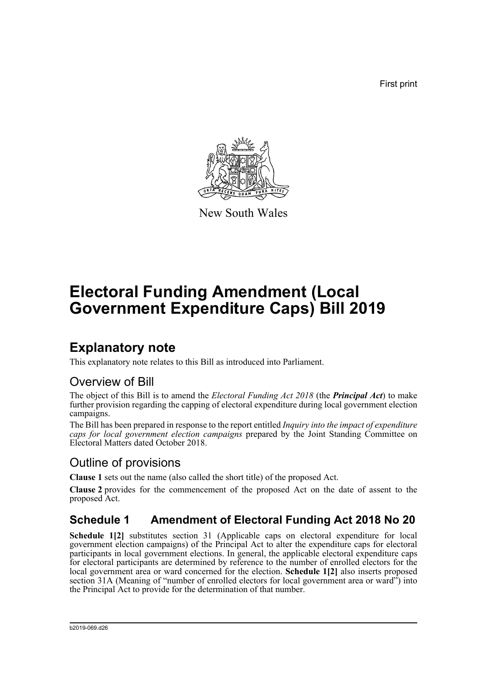First print



New South Wales

# **Electoral Funding Amendment (Local Government Expenditure Caps) Bill 2019**

## **Explanatory note**

This explanatory note relates to this Bill as introduced into Parliament.

### Overview of Bill

The object of this Bill is to amend the *Electoral Funding Act 2018* (the *Principal Act*) to make further provision regarding the capping of electoral expenditure during local government election campaigns.

The Bill has been prepared in response to the report entitled *Inquiry into the impact of expenditure caps for local government election campaigns* prepared by the Joint Standing Committee on Electoral Matters dated October 2018.

### Outline of provisions

**Clause 1** sets out the name (also called the short title) of the proposed Act.

**Clause 2** provides for the commencement of the proposed Act on the date of assent to the proposed Act.

### **Schedule 1 Amendment of Electoral Funding Act 2018 No 20**

**Schedule 1[2]** substitutes section 31 (Applicable caps on electoral expenditure for local government election campaigns) of the Principal Act to alter the expenditure caps for electoral participants in local government elections. In general, the applicable electoral expenditure caps for electoral participants are determined by reference to the number of enrolled electors for the local government area or ward concerned for the election. **Schedule 1[2]** also inserts proposed section 31A (Meaning of "number of enrolled electors for local government area or ward") into the Principal Act to provide for the determination of that number.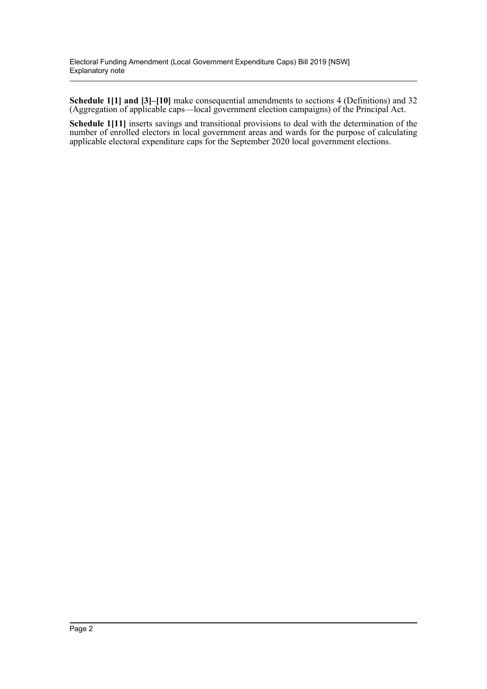**Schedule 1[1] and [3]–[10]** make consequential amendments to sections 4 (Definitions) and 32 (Aggregation of applicable caps—local government election campaigns) of the Principal Act.

**Schedule 1[11]** inserts savings and transitional provisions to deal with the determination of the number of enrolled electors in local government areas and wards for the purpose of calculating applicable electoral expenditure caps for the September 2020 local government elections.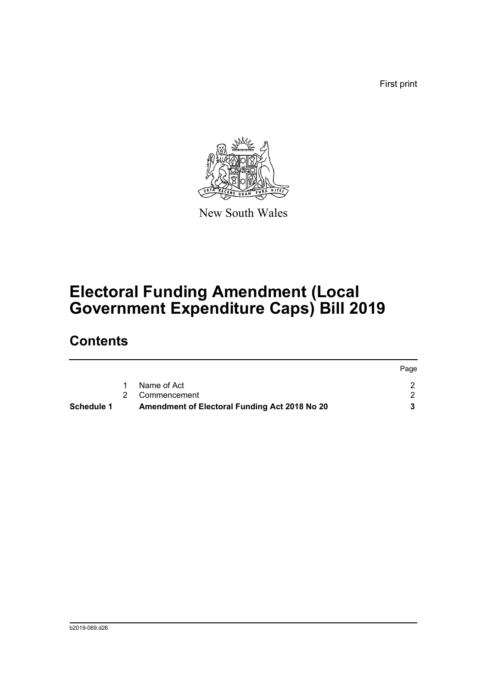First print



New South Wales

# **Electoral Funding Amendment (Local Government Expenditure Caps) Bill 2019**

## **Contents**

| <b>Schedule 1</b> | Amendment of Electoral Funding Act 2018 No 20 |      |
|-------------------|-----------------------------------------------|------|
|                   | 2 Commencement                                |      |
|                   | Name of Act                                   |      |
|                   |                                               | Page |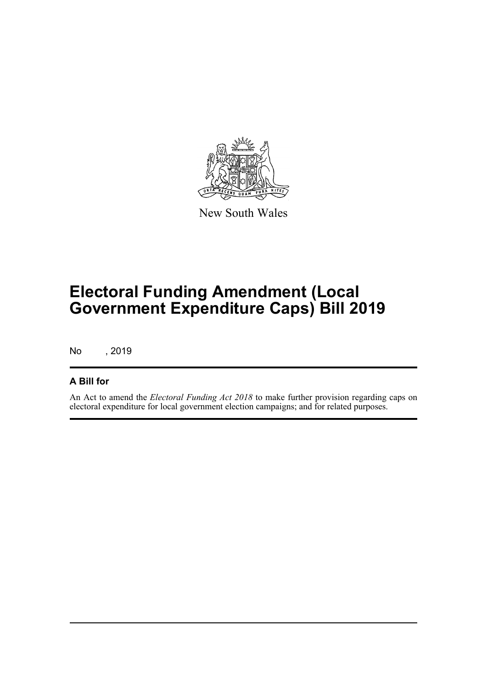

New South Wales

# **Electoral Funding Amendment (Local Government Expenditure Caps) Bill 2019**

No , 2019

### **A Bill for**

An Act to amend the *Electoral Funding Act 2018* to make further provision regarding caps on electoral expenditure for local government election campaigns; and for related purposes.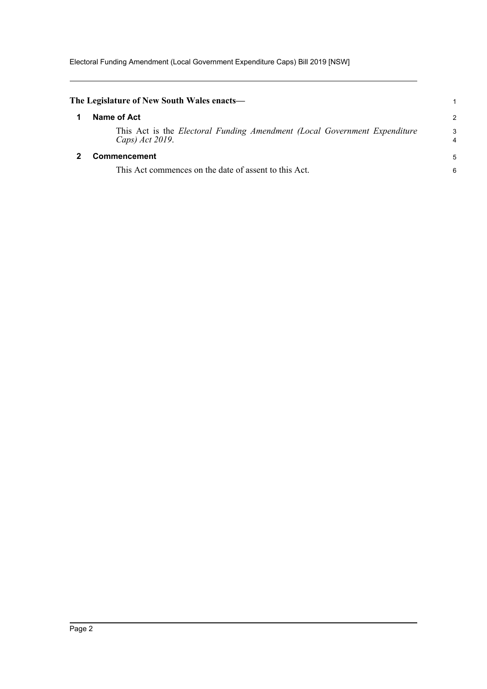<span id="page-4-1"></span><span id="page-4-0"></span>

| The Legislature of New South Wales enacts—                                                   |        |
|----------------------------------------------------------------------------------------------|--------|
| Name of Act                                                                                  | 2      |
| This Act is the Electoral Funding Amendment (Local Government Expenditure<br>Caps) Act 2019. | 3<br>4 |
| <b>Commencement</b>                                                                          | 5      |
| This Act commences on the date of assent to this Act.                                        | 6      |
|                                                                                              |        |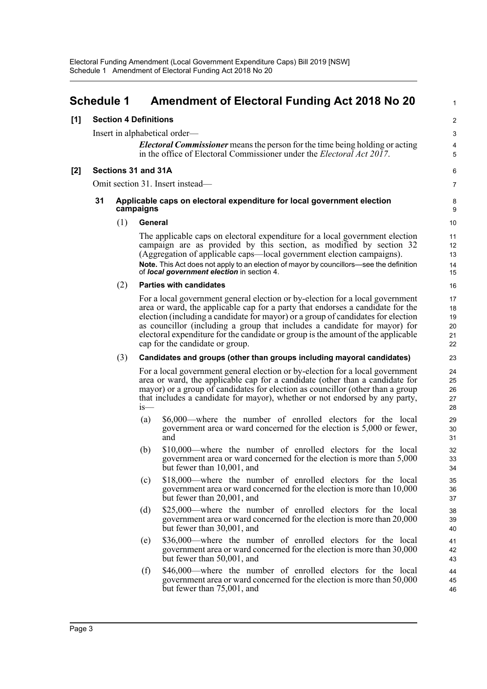<span id="page-5-0"></span>

|       | <b>Schedule 1</b> |                                                                                     |         | <b>Amendment of Electoral Funding Act 2018 No 20</b>                                                                                                                                                                                                                                                                                                                                                                                                    | 1                                |  |  |
|-------|-------------------|-------------------------------------------------------------------------------------|---------|---------------------------------------------------------------------------------------------------------------------------------------------------------------------------------------------------------------------------------------------------------------------------------------------------------------------------------------------------------------------------------------------------------------------------------------------------------|----------------------------------|--|--|
| $[1]$ |                   | <b>Section 4 Definitions</b>                                                        |         |                                                                                                                                                                                                                                                                                                                                                                                                                                                         | $\boldsymbol{2}$                 |  |  |
|       |                   |                                                                                     |         | Insert in alphabetical order—                                                                                                                                                                                                                                                                                                                                                                                                                           | 3                                |  |  |
|       |                   |                                                                                     |         | <b>Electoral Commissioner</b> means the person for the time being holding or acting<br>in the office of Electoral Commissioner under the <i>Electoral Act 2017</i> .                                                                                                                                                                                                                                                                                    | 4<br>5                           |  |  |
| $[2]$ |                   | Sections 31 and 31A                                                                 |         |                                                                                                                                                                                                                                                                                                                                                                                                                                                         | 6                                |  |  |
|       |                   |                                                                                     |         | Omit section 31. Insert instead—                                                                                                                                                                                                                                                                                                                                                                                                                        | 7                                |  |  |
|       | 31                | Applicable caps on electoral expenditure for local government election<br>campaigns |         |                                                                                                                                                                                                                                                                                                                                                                                                                                                         |                                  |  |  |
|       |                   | (1)                                                                                 | General |                                                                                                                                                                                                                                                                                                                                                                                                                                                         | 10                               |  |  |
|       |                   |                                                                                     |         | The applicable caps on electoral expenditure for a local government election<br>campaign are as provided by this section, as modified by section 32<br>(Aggregation of applicable caps—local government election campaigns).<br>Note. This Act does not apply to an election of mayor by councillors-see the definition<br>of local government election in section 4.                                                                                   | 11<br>12<br>13<br>14<br>15       |  |  |
|       |                   | (2)                                                                                 |         | <b>Parties with candidates</b>                                                                                                                                                                                                                                                                                                                                                                                                                          | 16                               |  |  |
|       |                   |                                                                                     |         | For a local government general election or by-election for a local government<br>area or ward, the applicable cap for a party that endorses a candidate for the<br>election (including a candidate for mayor) or a group of candidates for election<br>as councillor (including a group that includes a candidate for mayor) for<br>electoral expenditure for the candidate or group is the amount of the applicable<br>cap for the candidate or group. | 17<br>18<br>19<br>20<br>21<br>22 |  |  |
|       |                   | (3)                                                                                 |         | Candidates and groups (other than groups including mayoral candidates)                                                                                                                                                                                                                                                                                                                                                                                  | 23                               |  |  |
|       |                   |                                                                                     | is—     | For a local government general election or by-election for a local government<br>area or ward, the applicable cap for a candidate (other than a candidate for<br>mayor) or a group of candidates for election as councillor (other than a group<br>that includes a candidate for mayor), whether or not endorsed by any party,                                                                                                                          | 24<br>25<br>26<br>27<br>28       |  |  |
|       |                   |                                                                                     | (a)     | \$6,000—where the number of enrolled electors for the local<br>government area or ward concerned for the election is 5,000 or fewer,<br>and                                                                                                                                                                                                                                                                                                             | 29<br>30<br>31                   |  |  |
|       |                   |                                                                                     | (b)     | \$10,000—where the number of enrolled electors for the local<br>government area or ward concerned for the election is more than 5,000<br>but fewer than 10,001, and                                                                                                                                                                                                                                                                                     | 32<br>33<br>34                   |  |  |
|       |                   |                                                                                     | (c)     | \$18,000—where the number of enrolled electors for the local<br>government area or ward concerned for the election is more than 10,000<br>but fewer than 20,001, and                                                                                                                                                                                                                                                                                    | 35<br>36<br>37                   |  |  |
|       |                   |                                                                                     | (d)     | \$25,000—where the number of enrolled electors for the local<br>government area or ward concerned for the election is more than 20,000<br>but fewer than 30,001, and                                                                                                                                                                                                                                                                                    | 38<br>39<br>40                   |  |  |
|       |                   |                                                                                     | (e)     | \$36,000—where the number of enrolled electors for the local<br>government area or ward concerned for the election is more than 30,000<br>but fewer than 50,001, and                                                                                                                                                                                                                                                                                    | 41<br>42<br>43                   |  |  |
|       |                   |                                                                                     | (f)     | \$46,000—where the number of enrolled electors for the local<br>government area or ward concerned for the election is more than 50,000<br>but fewer than 75,001, and                                                                                                                                                                                                                                                                                    | 44<br>45<br>46                   |  |  |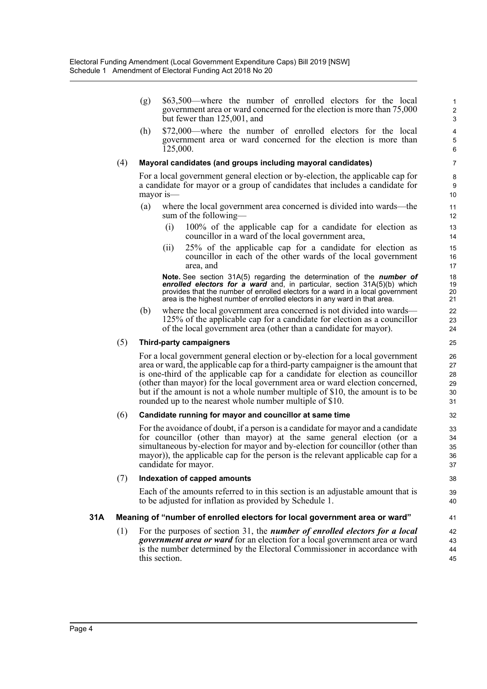(g) \$63,500—where the number of enrolled electors for the local government area or ward concerned for the election is more than 75,000 but fewer than 125,001, and

(h) \$72,000—where the number of enrolled electors for the local government area or ward concerned for the election is more than 125,000.

#### (4) **Mayoral candidates (and groups including mayoral candidates)**

For a local government general election or by-election, the applicable cap for a candidate for mayor or a group of candidates that includes a candidate for mayor is—

- (a) where the local government area concerned is divided into wards—the sum of the following—
	- (i) 100% of the applicable cap for a candidate for election as councillor in a ward of the local government area,
	- (ii) 25% of the applicable cap for a candidate for election as councillor in each of the other wards of the local government area, and

**Note.** See section 31A(5) regarding the determination of the *number of enrolled electors for a ward* and, in particular, section 31A(5)(b) which provides that the number of enrolled electors for a ward in a local government area is the highest number of enrolled electors in any ward in that area.

(b) where the local government area concerned is not divided into wards— 125% of the applicable cap for a candidate for election as a councillor of the local government area (other than a candidate for mayor).

#### (5) **Third-party campaigners**

For a local government general election or by-election for a local government area or ward, the applicable cap for a third-party campaigner is the amount that is one-third of the applicable cap for a candidate for election as councillor (other than mayor) for the local government area or ward election concerned, but if the amount is not a whole number multiple of \$10, the amount is to be rounded up to the nearest whole number multiple of \$10.

#### (6) **Candidate running for mayor and councillor at same time**

For the avoidance of doubt, if a person is a candidate for mayor and a candidate for councillor (other than mayor) at the same general election (or a simultaneous by-election for mayor and by-election for councillor (other than mayor)), the applicable cap for the person is the relevant applicable cap for a candidate for mayor.

#### (7) **Indexation of capped amounts**

Each of the amounts referred to in this section is an adjustable amount that is to be adjusted for inflation as provided by Schedule 1.

#### **31A Meaning of "number of enrolled electors for local government area or ward"**

(1) For the purposes of section 31, the *number of enrolled electors for a local government area or ward* for an election for a local government area or ward is the number determined by the Electoral Commissioner in accordance with this section.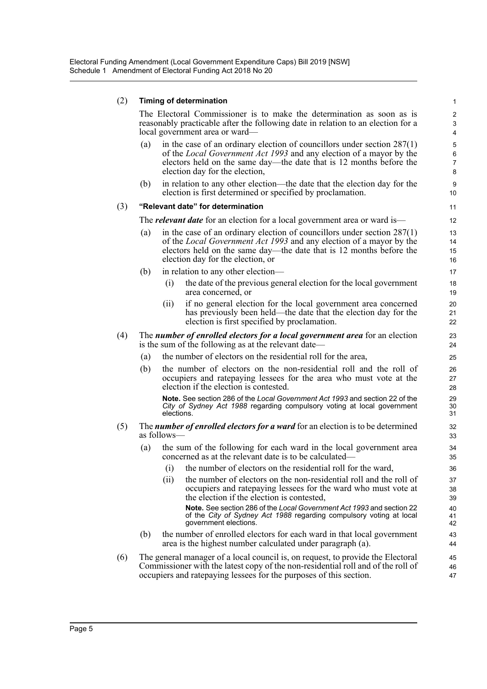#### (2) **Timing of determination**

The Electoral Commissioner is to make the determination as soon as is reasonably practicable after the following date in relation to an election for a local government area or ward—

- (a) in the case of an ordinary election of councillors under section  $287(1)$ of the *Local Government Act 1993* and any election of a mayor by the electors held on the same day—the date that is 12 months before the election day for the election,
- (b) in relation to any other election—the date that the election day for the election is first determined or specified by proclamation.

#### (3) **"Relevant date" for determination**

The *relevant date* for an election for a local government area or ward is—

- (a) in the case of an ordinary election of councillors under section  $287(1)$ of the *Local Government Act 1993* and any election of a mayor by the electors held on the same day—the date that is 12 months before the election day for the election, or
- (b) in relation to any other election—
	- (i) the date of the previous general election for the local government area concerned, or
	- (ii) if no general election for the local government area concerned has previously been held—the date that the election day for the election is first specified by proclamation.
- (4) The *number of enrolled electors for a local government area* for an election is the sum of the following as at the relevant date—
	- (a) the number of electors on the residential roll for the area,
	- (b) the number of electors on the non-residential roll and the roll of occupiers and ratepaying lessees for the area who must vote at the election if the election is contested.

**Note.** See section 286 of the *Local Government Act 1993* and section 22 of the *City of Sydney Act 1988* regarding compulsory voting at local government elections.

#### (5) The *number of enrolled electors for a ward* for an election is to be determined as follows—

- (a) the sum of the following for each ward in the local government area concerned as at the relevant date is to be calculated—
	- (i) the number of electors on the residential roll for the ward,
	- (ii) the number of electors on the non-residential roll and the roll of occupiers and ratepaying lessees for the ward who must vote at the election if the election is contested, **Note.** See section 286 of the *Local Government Act 1993* and section 22 of the *City of Sydney Act 1988* regarding compulsory voting at local government elections.
- (b) the number of enrolled electors for each ward in that local government area is the highest number calculated under paragraph (a).
- (6) The general manager of a local council is, on request, to provide the Electoral Commissioner with the latest copy of the non-residential roll and of the roll of occupiers and ratepaying lessees for the purposes of this section.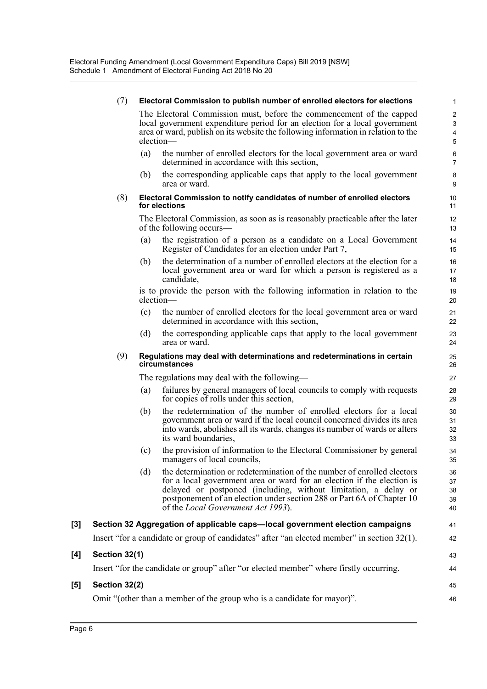|                     | (7)           |     | Electoral Commission to publish number of enrolled electors for elections                                                                                                                                                                                                                                                                    | 1                                    |
|---------------------|---------------|-----|----------------------------------------------------------------------------------------------------------------------------------------------------------------------------------------------------------------------------------------------------------------------------------------------------------------------------------------------|--------------------------------------|
|                     |               |     | The Electoral Commission must, before the commencement of the capped<br>local government expenditure period for an election for a local government<br>area or ward, publish on its website the following information in relation to the<br>election-                                                                                         | $\mathbf 2$<br>$\mathsf 3$<br>4<br>5 |
|                     |               | (a) | the number of enrolled electors for the local government area or ward<br>determined in accordance with this section,                                                                                                                                                                                                                         | 6<br>$\overline{7}$                  |
|                     |               | (b) | the corresponding applicable caps that apply to the local government<br>area or ward.                                                                                                                                                                                                                                                        | 8<br>9                               |
|                     | (8)           |     | Electoral Commission to notify candidates of number of enrolled electors<br>for elections                                                                                                                                                                                                                                                    | 10<br>11                             |
|                     |               |     | The Electoral Commission, as soon as is reasonably practicable after the later<br>of the following occurs—                                                                                                                                                                                                                                   | 12<br>13                             |
|                     |               | (a) | the registration of a person as a candidate on a Local Government<br>Register of Candidates for an election under Part 7,                                                                                                                                                                                                                    | 14<br>15                             |
|                     |               | (b) | the determination of a number of enrolled electors at the election for a<br>local government area or ward for which a person is registered as a<br>candidate,                                                                                                                                                                                | 16<br>17<br>18                       |
|                     |               |     | is to provide the person with the following information in relation to the<br>election-                                                                                                                                                                                                                                                      | 19<br>20                             |
|                     |               | (c) | the number of enrolled electors for the local government area or ward<br>determined in accordance with this section,                                                                                                                                                                                                                         | 21<br>22                             |
|                     |               | (d) | the corresponding applicable caps that apply to the local government<br>area or ward.                                                                                                                                                                                                                                                        | 23<br>24                             |
|                     | (9)           |     | Regulations may deal with determinations and redeterminations in certain<br>circumstances                                                                                                                                                                                                                                                    | 25<br>26                             |
|                     |               |     | The regulations may deal with the following—                                                                                                                                                                                                                                                                                                 | 27                                   |
|                     |               | (a) | failures by general managers of local councils to comply with requests<br>for copies of rolls under this section,                                                                                                                                                                                                                            | 28<br>29                             |
|                     |               | (b) | the redetermination of the number of enrolled electors for a local<br>government area or ward if the local council concerned divides its area<br>into wards, abolishes all its wards, changes its number of wards or alters<br>its ward boundaries,                                                                                          | 30<br>31<br>32<br>33                 |
|                     |               | (c) | the provision of information to the Electoral Commissioner by general<br>managers of local councils,                                                                                                                                                                                                                                         | 34<br>35                             |
|                     |               | (d) | the determination or redetermination of the number of enrolled electors<br>for a local government area or ward for an election if the election is<br>delayed or postponed (including, without limitation, a delay or<br>postponement of an election under section 288 or Part 6A of Chapter 10<br>of the <i>Local Government Act 1993</i> ). | 36<br>37<br>38<br>39<br>40           |
| $\bm{\mathsf{[3]}}$ |               |     | Section 32 Aggregation of applicable caps—local government election campaigns                                                                                                                                                                                                                                                                | 41                                   |
|                     |               |     | Insert "for a candidate or group of candidates" after "an elected member" in section 32(1).                                                                                                                                                                                                                                                  | 42                                   |
| [4]                 | Section 32(1) |     |                                                                                                                                                                                                                                                                                                                                              | 43                                   |
|                     |               |     | Insert "for the candidate or group" after "or elected member" where firstly occurring.                                                                                                                                                                                                                                                       | 44                                   |
| $\bm{\mathsf{[5]}}$ | Section 32(2) |     |                                                                                                                                                                                                                                                                                                                                              | 45                                   |
|                     |               |     | Omit "(other than a member of the group who is a candidate for mayor)".                                                                                                                                                                                                                                                                      | 46                                   |

 $[4]$ 

[5]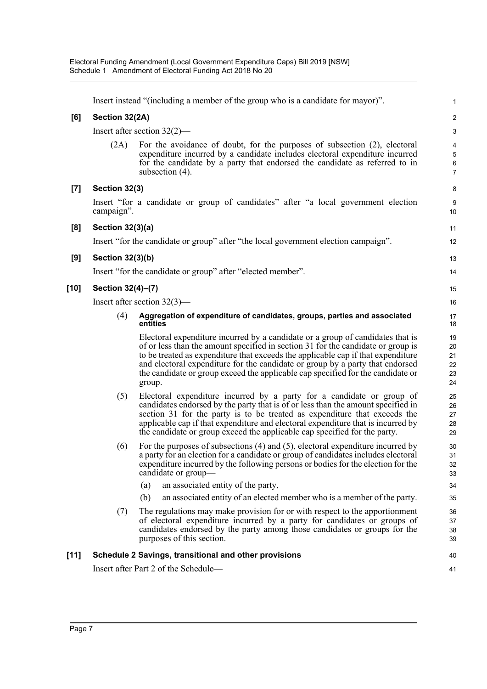|                  | Insert instead "(including a member of the group who is a candidate for mayor)". |                                                                                                                                                                                                                                                                                                                                                                                                                                      |                                                                      |  |  |
|------------------|----------------------------------------------------------------------------------|--------------------------------------------------------------------------------------------------------------------------------------------------------------------------------------------------------------------------------------------------------------------------------------------------------------------------------------------------------------------------------------------------------------------------------------|----------------------------------------------------------------------|--|--|
| [6]              | Section 32(2A)                                                                   |                                                                                                                                                                                                                                                                                                                                                                                                                                      |                                                                      |  |  |
|                  | Insert after section $32(2)$ —                                                   |                                                                                                                                                                                                                                                                                                                                                                                                                                      |                                                                      |  |  |
|                  | (2A)                                                                             | For the avoidance of doubt, for the purposes of subsection $(2)$ , electoral<br>expenditure incurred by a candidate includes electoral expenditure incurred<br>for the candidate by a party that endorsed the candidate as referred to in<br>subsection (4).                                                                                                                                                                         | $\overline{\mathbf{4}}$<br>$\overline{5}$<br>$\,6$<br>$\overline{7}$ |  |  |
| $\left[7\right]$ | Section 32(3)                                                                    |                                                                                                                                                                                                                                                                                                                                                                                                                                      | $\bf 8$                                                              |  |  |
|                  | campaign".                                                                       | Insert "for a candidate or group of candidates" after "a local government election                                                                                                                                                                                                                                                                                                                                                   | $\boldsymbol{9}$<br>10                                               |  |  |
| [8]              | Section 32(3)(a)                                                                 |                                                                                                                                                                                                                                                                                                                                                                                                                                      |                                                                      |  |  |
|                  |                                                                                  | Insert "for the candidate or group" after "the local government election campaign".                                                                                                                                                                                                                                                                                                                                                  | 12                                                                   |  |  |
| [9]              | Section 32(3)(b)                                                                 |                                                                                                                                                                                                                                                                                                                                                                                                                                      | 13                                                                   |  |  |
|                  |                                                                                  | Insert "for the candidate or group" after "elected member".                                                                                                                                                                                                                                                                                                                                                                          | 14                                                                   |  |  |
| [10]             | Section 32(4)-(7)                                                                |                                                                                                                                                                                                                                                                                                                                                                                                                                      | 15                                                                   |  |  |
|                  | Insert after section $32(3)$ —                                                   |                                                                                                                                                                                                                                                                                                                                                                                                                                      |                                                                      |  |  |
|                  | (4)                                                                              | Aggregation of expenditure of candidates, groups, parties and associated<br>entities                                                                                                                                                                                                                                                                                                                                                 | 17<br>18                                                             |  |  |
|                  |                                                                                  | Electoral expenditure incurred by a candidate or a group of candidates that is<br>of or less than the amount specified in section 31 for the candidate or group is<br>to be treated as expenditure that exceeds the applicable cap if that expenditure<br>and electoral expenditure for the candidate or group by a party that endorsed<br>the candidate or group exceed the applicable cap specified for the candidate or<br>group. | 19<br>20<br>21<br>22<br>23<br>24                                     |  |  |
|                  | (5)                                                                              | Electoral expenditure incurred by a party for a candidate or group of<br>candidates endorsed by the party that is of or less than the amount specified in<br>section 31 for the party is to be treated as expenditure that exceeds the<br>applicable cap if that expenditure and electoral expenditure that is incurred by<br>the candidate or group exceed the applicable cap specified for the party.                              | 25<br>26<br>27<br>28<br>29                                           |  |  |
|                  | (6)                                                                              | For the purposes of subsections $(4)$ and $(5)$ , electoral expenditure incurred by<br>a party for an election for a candidate or group of candidates includes electoral<br>expenditure incurred by the following persons or bodies for the election for the<br>candidate or group-                                                                                                                                                  | 30<br>31<br>32<br>33                                                 |  |  |
|                  |                                                                                  | an associated entity of the party,<br>(a)                                                                                                                                                                                                                                                                                                                                                                                            | 34                                                                   |  |  |
|                  |                                                                                  | an associated entity of an elected member who is a member of the party.<br>(b)                                                                                                                                                                                                                                                                                                                                                       | 35                                                                   |  |  |
|                  | (7)                                                                              | The regulations may make provision for or with respect to the apportionment<br>of electoral expenditure incurred by a party for candidates or groups of<br>candidates endorsed by the party among those candidates or groups for the<br>purposes of this section.                                                                                                                                                                    | 36<br>37<br>38<br>39                                                 |  |  |
| $[11]$           |                                                                                  | Schedule 2 Savings, transitional and other provisions                                                                                                                                                                                                                                                                                                                                                                                | 40                                                                   |  |  |
|                  |                                                                                  | Insert after Part 2 of the Schedule-                                                                                                                                                                                                                                                                                                                                                                                                 | 41                                                                   |  |  |
|                  |                                                                                  |                                                                                                                                                                                                                                                                                                                                                                                                                                      |                                                                      |  |  |